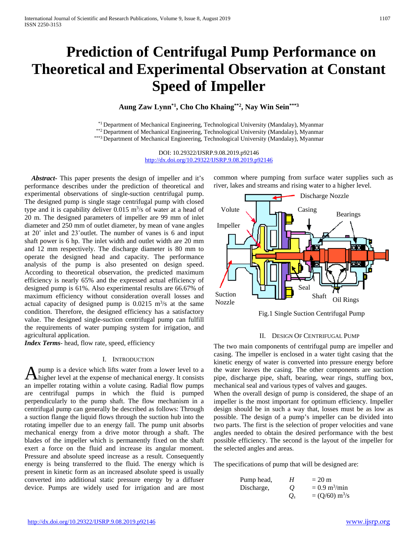# **Prediction of Centrifugal Pump Performance on Theoretical and Experimental Observation at Constant Speed of Impeller**

**Aung Zaw Lynn\*1, Cho Cho Khaing\*\*2 , Nay Win Sein\*\*\*3**

\*<sup>1</sup> Department of Mechanical Engineering, Technological University (Mandalay), Myanmar<br>\*\*2 Department of Mechanical Engineering, Technological University (Mandalay), Myanmar<br>\*\*\*3 Department of Mechanical Engineering, Tech

DOI: 10.29322/IJSRP.9.08.2019.p92146 <http://dx.doi.org/10.29322/IJSRP.9.08.2019.p92146>

*Abstract***-** This paper presents the design of impeller and it's performance describes under the prediction of theoretical and experimental observations of single-suction centrifugal pump. The designed pump is single stage centrifugal pump with closed type and it is capability deliver  $0.015 \text{ m}^3/\text{s}$  of water at a head of 20 m. The designed parameters of impeller are 99 mm of inlet diameter and 250 mm of outlet diameter, by mean of vane angles at 20˚ inlet and 23˚outlet. The number of vanes is 6 and input shaft power is 6 hp. The inlet width and outlet width are 20 mm and 12 mm respectively. The discharge diameter is 80 mm to operate the designed head and capacity. The performance analysis of the pump is also presented on design speed. According to theoretical observation, the predicted maximum efficiency is nearly 65% and the expressed actual efficiency of designed pump is 61%. Also experimental results are 66.67% of maximum efficiency without consideration overall losses and actual capacity of designed pump is  $0.0215 \text{ m}^3\text{/s}$  at the same condition. Therefore, the designed efficiency has a satisfactory value. The designed single-suction centrifugal pump can fulfill the requirements of water pumping system for irrigation, and agricultural application.

*Index Terms*- head, flow rate, speed, efficiency

#### I. INTRODUCTION

pump is a device which lifts water from a lower level to a A pump is a device which lifts water from a lower level to a higher level at the expense of mechanical energy. It consists an impeller rotating within a volute casing. Radial flow pumps are centrifugal pumps in which the fluid is pumped perpendicularly to the pump shaft. The flow mechanism in a centrifugal pump can generally be described as follows: Through a suction flange the liquid flows through the suction hub into the rotating impeller due to an energy fall. The pump unit absorbs mechanical energy from a drive motor through a shaft. The blades of the impeller which is permanently fixed on the shaft exert a force on the fluid and increase its angular moment. Pressure and absolute speed increase as a result. Consequently energy is being transferred to the fluid. The energy which is present in kinetic form as an increased absolute speed is usually converted into additional static pressure energy by a diffuser device. Pumps are widely used for irrigation and are most

common where pumping from surface water supplies such as river, lakes and streams and rising water to a higher level.



Fig.1 Single Suction Centrifugal Pump

#### II. DESIGN OF CENTRIFUGAL PUMP

The two main components of centrifugal pump are impeller and casing. The impeller is enclosed in a water tight casing that the kinetic energy of water is converted into pressure energy before the water leaves the casing. The other components are suction pipe, discharge pipe, shaft, bearing, wear rings, stuffing box, mechanical seal and various types of valves and gauges.

When the overall design of pump is considered, the shape of an impeller is the most important for optimum efficiency. Impeller design should be in such a way that, losses must be as low as possible. The design of a pump's impeller can be divided into two parts. The first is the selection of proper velocities and vane angles needed to obtain the desired performance with the best possible efficiency. The second is the layout of the impeller for the selected angles and areas.

The specifications of pump that will be designed are:

| Pump head, | Н              | $= 20$ m                       |
|------------|----------------|--------------------------------|
| Discharge, | $\overline{O}$ | $= 0.9 \text{ m}^3/\text{min}$ |
|            | $O_s$          | $= (Q/60)$ m <sup>3</sup> /s   |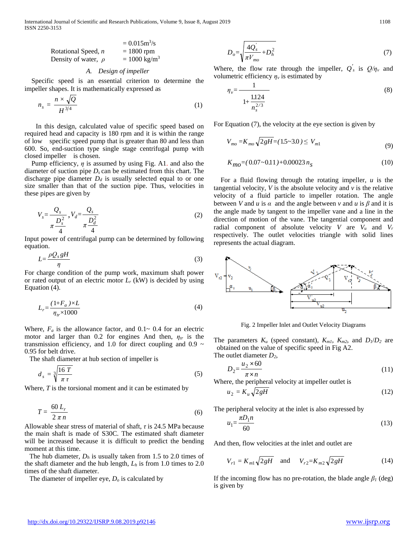International Journal of Scientific and Research Publications, Volume 9, Issue 8, August 2019 1108 ISSN 2250-3153

| $= 0.015 \text{m}^3/\text{s}$ |                       |
|-------------------------------|-----------------------|
| Rotational Speed, <i>n</i>    | $= 1800 \text{ rpm}$  |
| Density of water, $\rho$      | $= 1000 \text{ kg/m}$ |

#### *A. Design of impeller*

Specific speed is an essential criterion to determine the impeller shapes. It is mathematically expressed as

$$
n_s = \frac{n \times \sqrt{Q}}{H^{3/4}}\tag{1}
$$

 In this design, calculated value of specific speed based on required head and capacity is 180 rpm and it is within the range of low specific speed pump that is greater than 80 and less than 600. So, end-suction type single stage centrifugal pump with closed impeller is chosen.

Pump efficiency, *η* is assumed by using Fig. A1. and also the diameter of suction pipe *Ds* can be estimated from this chart. The discharge pipe diameter  $D_d$  is usually selected equal to or one size smaller than that of the suction pipe. Thus, velocities in these pipes are given by

$$
V_s = \frac{Q_s}{\pi \frac{D_s^2}{4}}, V_d = \frac{Q_s}{\pi \frac{D_d^2}{4}}
$$
 (2)

Input power of centrifugal pump can be determined by following equation.

$$
L = \frac{\rho Q_s g H}{\eta} \tag{3}
$$

*n*<br>For charge condition of the pump work, maximum shaft power or rated output of an electric motor  $L_r$  (kW) is decided by using Equation (4).

$$
L_r = \frac{(1 + F_a) \times L}{\eta_{tr} \times 1000} \tag{4}
$$

Where,  $F_a$  is the allowance factor, and  $0.1 \sim 0.4$  for an electric motor and larger than 0.2 for engines And then, *ηtr* is the transmission efficiency, and 1.0 for direct coupling and 0.9  $\sim$ 0.95 for belt drive.

The shaft diameter at hub section of impeller is

$$
d_s = \sqrt[3]{\frac{16 \ T}{\pi \tau}}
$$
 (5)

Where, *T* is the torsional moment and it can be estimated by

$$
T = \frac{60 L_r}{2 \pi n} \tag{6}
$$

Allowable shear stress of material of shaft, *τ* is 24.5 MPa because the main shaft is made of S30C. The estimated shaft diameter will be increased because it is difficult to predict the bending moment at this time.

The hub diameter,  $D_h$  is usually taken from 1.5 to 2.0 times of the shaft diameter and the hub length, *Lh* is from 1.0 times to 2.0 times of the shaft diameter.

The diameter of impeller eye, *Do* is calculated by

$$
D_o = \sqrt{\frac{4Q_s'}{\pi V_{mo}} + D_h^2}
$$
 (7)

Where, the flow rate through the impeller,  $Q'_{s}$  is  $Q/\eta_{v}$  and volumetric efficiency  $\eta_{\nu}$  is estimated by

$$
\eta_{\nu} = \frac{1}{1 + \frac{1.124}{n_s^{2/3}}} \tag{8}
$$

For Equation (7), the velocity at the eye section is given by

$$
V_{mo} = K_{mo} \sqrt{2gH} = (1.5 \sim 3.0) \le V_{m1}
$$
\n(9)

$$
K_{m0} = (0.07 - 0.11) + 0.00023 n_s \tag{10}
$$

For a fluid flowing through the rotating impeller, *u* is the tangential velocity,  $V$  is the absolute velocity and  $v$  is the relative velocity of a fluid particle to impeller rotation. The angle between *V* and *u* is  $\alpha$  and the angle between  $\nu$  and  $\mu$  is  $\beta$  and it is the angle made by tangent to the impeller vane and a line in the direction of motion of the vane. The tangential component and radial component of absolute velocity  $V$  are  $V_u$  and  $V_r$ respectively. The outlet velocities triangle with solid lines represents the actual diagram.



Fig. 2 Impeller Inlet and Outlet Velocity Diagrams

The parameters  $K_u$  (speed constant),  $K_{m1}$ ,  $K_{m2}$ , and  $D_l/D_2$  are obtained on the value of specific speed in Fig A2.

The outlet diameter *D2*,

$$
D_2 = \frac{u_2 \times 60}{\pi \times n} \tag{11}
$$

Where, the peripheral velocity at impeller outlet is  $u_2 = K_u \sqrt{2gH}$  (12)

The peripheral velocity at the inlet is also expressed by

$$
u_1 = \frac{\pi D_1 n}{60} \tag{13}
$$

And then, flow velocities at the inlet and outlet are

$$
V_{r1} = K_{m1} \sqrt{2gH} \quad \text{and} \quad V_{r2} = K_{m2} \sqrt{2gH} \tag{14}
$$

If the incoming flow has no pre-rotation, the blade angle  $\beta$ <sup>*I*</sup> (deg) is given by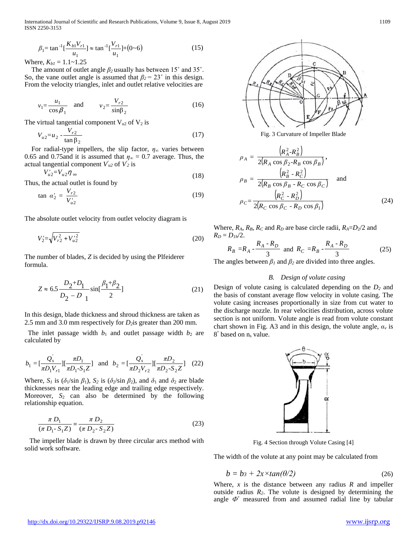International Journal of Scientific and Research Publications, Volume 9, Issue 8, August 2019 1109 ISSN 2250-3153

$$
\beta_1 = \tan^{-1}\left[\frac{K_{b1}V_{r1}}{u_1}\right] \approx \tan^{-1}\left[\frac{V_{r1}}{u_1}\right] + (0.6) \tag{15}
$$

Where,  $K_{b1} = 1.1 - 1.25$ 

The amount of outlet angle *β<sup>2</sup>* usually has between 15˚ and 35˚. So, the vane outlet angle is assumed that  $\beta_2 = 23^\circ$  in this design. From the velocity triangles, inlet and outlet relative velocities are

$$
v_1 = \frac{u_1}{\cos \beta_1}
$$
 and  $v_2 = \frac{V_{r2}}{\sin \beta_2}$  (16)

The virtual tangential component  $V_{u2}$  of  $V_2$  is

$$
V_{u2} = u_2 - \frac{V_{r2}}{\tan \beta_2} \tag{17}
$$

For radial-type impellers, the slip factor, *η∞* varies between 0.65 and 0.75and it is assumed that  $\eta_{\infty} = 0.7$  average. Thus, the actual tangential component  $V'_{u2}$  of  $V'_{2}$  is

$$
V_{u2} = V_{u2} \eta_{\infty} \tag{18}
$$

Thus, the actual outlet is found by

$$
\tan \alpha_2' = \frac{V_{r2}}{V_{u2}'} \tag{19}
$$

The absolute outlet velocity from outlet velocity diagram is

$$
V_2' = \sqrt{V_{r2}^2 + V_{u2}'^2}
$$
 (20)

The number of blades, *Z* is decided by using the Plfeiderer formula.

$$
Z \approx 6.5 \frac{D_2 + D_1}{D_2 - D_1} \sin\left[\frac{\beta_1 + \beta_2}{2}\right]
$$
 (21)

In this design, blade thickness and shroud thickness are taken as 2.5 mm and 3.0 mm respectively for *D*<sub>2</sub>is greater than 200 mm.

The inlet passage width  $b_1$  and outlet passage width  $b_2$  are calculated by

$$
b_1 = \left[\frac{Q_s'}{\pi D_1 V_{r1}}\right] \left[\frac{\pi D_1}{\pi D_1 \cdot S_1 Z}\right] \text{ and } b_2 = \left[\frac{Q_s'}{\pi D_2 V_{r2}}\right] \left[\frac{\pi D_2}{\pi D_2 \cdot S_2 Z}\right] \quad (22)
$$

Where,  $S_1$  is ( $\delta_1$ /sin  $\beta_1$ ),  $S_2$  is ( $\delta_2$ /sin  $\beta_2$ ), and  $\delta_1$  and  $\delta_2$  are blade thicknesses near the leading edge and trailing edge respectively. Moreover,  $S_2$  can also be determined by the following relationship equation.

$$
\frac{\pi D_1}{(\pi D_1 - S_1 Z)} = \frac{\pi D_2}{(\pi D_2 - S_2 Z)}\tag{23}
$$

The impeller blade is drawn by three circular arcs method with solid work software.



Fig. 3 Curvature of Impeller Blade

$$
\rho_A = \frac{\left(R_A^2 - R_B^2\right)}{2\left(R_A \cos \beta_2 - R_B \cos \beta_B\right)},
$$
\n
$$
\rho_B = \frac{\left(R_B^2 - R_C^2\right)}{2\left(R_B \cos \beta_B - R_C \cos \beta_C\right)} \quad \text{and}
$$
\n
$$
\rho_C = \frac{\left(R_C^2 - R_D^2\right)}{2\left(R_C \cos \beta_C - R_D \cos \beta_1\right)} \tag{24}
$$

Where,  $R_A$ ,  $R_B$ ,  $R_C$  and  $R_D$  are base circle radii,  $R_A = D_2/2$  and  $R_D = D_{1h}/2$ .

$$
R_B = R_A - \frac{R_A - R_D}{3}
$$
 and  $R_C = R_B - \frac{R_A - R_D}{3}$  (25)

The angles between  $\beta_l$  and  $\beta_2$  are divided into three angles.

#### *B. Design of volute casing*

Design of volute casing is calculated depending on the *D2* and the basis of constant average flow velocity in volute casing. The volute casing increases proportionally in size from cut water to the discharge nozzle. In rear velocities distribution, across volute section is not uniform. Volute angle is read from volute constant chart shown in Fig. A3 and in this design, the volute angle,  $\alpha$ <sup>*v*</sup> is 8° based on ns value.



Fig. 4 Section through Volute Casing [4]

The width of the volute at any point may be calculated from

$$
b = b_3 + 2x \times tan(\theta/2) \tag{26}
$$

Where, *x* is the distance between any radius *R* and impeller outside radius *R2*. The volute is designed by determining the angle  $\Phi$ <sup>°</sup> measured from and assumed radial line by tabular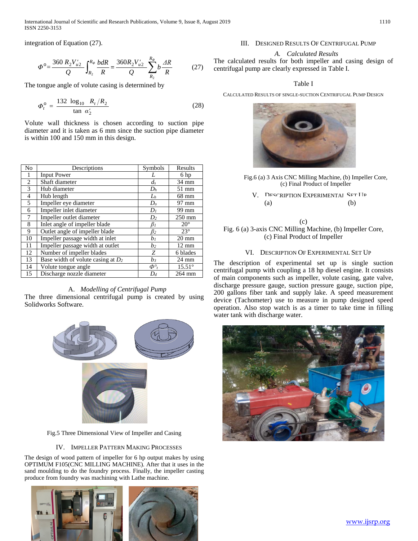International Journal of Scientific and Research Publications, Volume 9, Issue 8, August 2019 1110 ISSN 2250-3153

integration of Equation (27).

$$
\Phi^{\circ} = \frac{360 \ R_2 V_{u2}'}{Q} \int_{R_2}^{R_{\phi}} \frac{b dR}{R} = \frac{360 R_2 V_{u2}'}{Q} \sum_{R_2}^{R_{\phi}} b \frac{dR}{R}
$$
(27)

The tongue angle of volute casing is determined by

$$
\Phi_t^{\rm o} = \frac{132 \log_{10} R_t/R_2}{\tan \alpha'_2} \tag{28}
$$

Volute wall thickness is chosen according to suction pipe diameter and it is taken as 6 mm since the suction pipe diameter is within 100 and 150 mm in this design.

| No             | Descriptions                         | Symbols        | Results         |
|----------------|--------------------------------------|----------------|-----------------|
| 1              | <b>Input Power</b>                   | L              | 6 hp            |
| $\overline{2}$ | Shaft diameter                       | $d_s$          | 34 mm           |
| 3              | Hub diameter                         | $D_h$          | 51 mm           |
| $\overline{4}$ | Hub length                           | $L_h$          | 68 mm           |
| 5              | Impeller eye diameter                | D <sub>o</sub> | 97 mm           |
| 6              | Impeller inlet diameter              | D <sub>1</sub> | 99 mm           |
| 7              | Impeller outlet diameter             | $D_2$          | $250$ mm        |
| 8              | Inlet angle of impeller blade        | $\beta_I$      | $20^{\circ}$    |
| 9              | Outlet angle of impeller blade       | $\beta_2$      | $23^\circ$      |
| 10             | Impeller passage width at inlet      | b <sub>1</sub> | $20 \text{ mm}$ |
| 11             | Impeller passage width at outlet     | b2             | $12 \text{ mm}$ |
| 12             | Number of impeller blades            | Ζ              | 6 blades        |
| 13             | Base width of volute casing at $D_2$ | $b_3$          | $24 \text{ mm}$ |
| 14             | Volute tongue angle                  | $\Phi^\circ_t$ | $15.51^\circ$   |
| 15             | Discharge nozzle diameter            | $D_d$          | 264 mm          |

#### A. *Modelling of Centrifugal Pump*

The three dimensional centrifugal pump is created by using Solidworks Software.



Fig.5 Three Dimensional View of Impeller and Casing

#### IV. IMPELLER PATTERN MAKING PROCESSES

The design of wood pattern of impeller for 6 hp output makes by using OPTIMUM F105(CNC MILLING MACHINE). After that it uses in the sand moulding to do the foundry process. Finally, the impeller casting produce from foundry was machining with Lathe machine.



### III. DESIGNED RESULTS OF CENTRIFUGAL PUMP

## *A. Calculated Results*

The calculated results for both impeller and casing design of centrifugal pump are clearly expressed in Table I.

#### Table I

CALCULATED RESULTS OF SINGLE-SUCTION CENTRIFUGAL PUMP DESIGN



- Fig.6 (a) 3 Axis CNC Milling Machine, (b) Impeller Core, (c) Final Product of Impeller
	- V. DESCRIPTION EXPERIMENTAL SET I ID  $(a)$  (b)
- (c) Fig. 6 (a) 3-axis CNC Milling Machine, (b) Impeller Core, (c) Final Product of Impeller

#### VI. DESCRIPTION OF EXPERIMENTAL SET UP

The description of experimental set up is single suction centrifugal pump with coupling a 18 hp diesel engine. It consists of main components such as impeller, volute casing, gate valve, discharge pressure gauge, suction pressure gauge, suction pipe, 200 gallons fiber tank and supply lake. A speed measurement device (Tachometer) use to measure in pump designed speed operation. Also stop watch is as a timer to take time in filling water tank with discharge water.

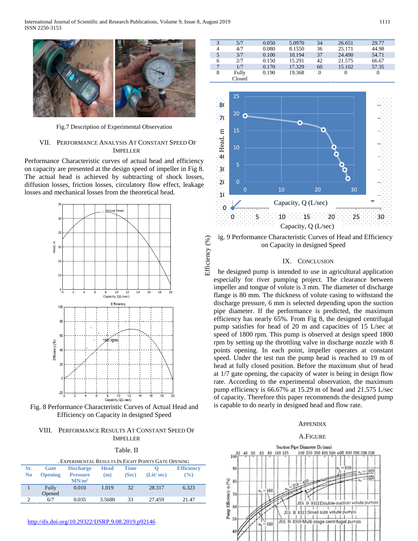

Fig.7 Description of Experimental Observation

#### VII. PERFORMANCE ANALYSIS AT CONSTANT SPEED OF IMPELLER

Performance Characteristic curves of actual head and efficiency on capacity are presented at the design speed of impeller in Fig 8. The actual head is achieved by subtracting of shock losses, diffusion losses, friction losses, circulatory flow effect, leakage losses and mechanical losses from the theoretical head.



Fig. 8 Performance Characteristic Curves of Actual Head and Efficiency on Capacity in designed Speed

#### VIII. PERFORMANCE RESULTS AT CONSTANT SPEED OF IMPELLER

#### Table. II

| . EXPERIMENTAL RESULTS IN EIGHT POINTS GATE OPENING |                |                   |             |             |           |                   |
|-----------------------------------------------------|----------------|-------------------|-------------|-------------|-----------|-------------------|
| Sr.                                                 | Gate           | <b>Discharge</b>  | <b>Head</b> | <b>Time</b> |           | <b>Efficiency</b> |
| N <sub>0</sub>                                      | <b>Opening</b> | <b>Pressure</b>   | (m)         | (Sec)       | (Lit/sec) | $\frac{9}{6}$     |
|                                                     |                | MN/m <sup>2</sup> |             |             |           |                   |
|                                                     | Fully          | 0.010             | 1.019       | 32          | 28.317    | 6.323             |
|                                                     | Opened         |                   |             |             |           |                   |
| $\Omega$                                            | 6/7            | 0.035             | 3.5680      | 33          | 27.459    | 21.47             |
|                                                     |                |                   |             |             |           |                   |

| 3 | 5/7    | 0.050 | 5.0970 | 34       | 26.651 | 29.77    |
|---|--------|-------|--------|----------|--------|----------|
| 4 | 4/7    | 0.080 | 8.1550 | 36       | 25.171 | 44.98    |
| 5 | 3/7    | 0.100 | 10.194 | 37       | 24.490 | 54.71    |
| 6 | 2/7    | 0.150 | 15.291 | 42       | 21.575 | 66.67    |
|   | 1/7    | 0.170 | 17.329 | 60       | 15.102 | 57.35    |
| 8 | Fully  | 0.190 | 19.368 | $\theta$ |        | $\Omega$ |
|   | Closed |       |        |          |        |          |



ig. 9 Performance Characteristic Curves of Head and Efficiency on Capacity in designed Speed

Efficiency (%)

Efficiency (%)

#### IX. CONCLUSION

The designed pump is intended to use in agricultural application especially for river pumping project. The clearance between impeller and tongue of volute is 3 mm. The diameter of discharge flange is 80 mm. The thickness of volute casing to withstand the discharge pressure, 6 mm is selected depending upon the suction pipe diameter. If the performance is predicted, the maximum efficiency has nearly 65%. From Fig 8, the designed centrifugal pump satisfies for head of 20 m and capacities of 15 L/sec at speed of 1800 rpm. This pump is observed at design speed 1800 rpm by setting up the throttling valve in discharge nozzle with 8 points opening. In each point, impeller operates at constant speed. Under the test run the pump head is reached to 19 m of head at fully closed position. Before the maximum shut of head at 1/7 gate opening, the capacity of water is being in design flow rate. According to the experimental observation, the maximum pump efficiency is 66.67% at 15.29 m of head and 21.575 L/sec of capacity. Therefore this paper recommends the designed pump is capable to do nearly in designed head and flow rate.

# **APPENDIX**

# A. FIGURE A.FIGURE